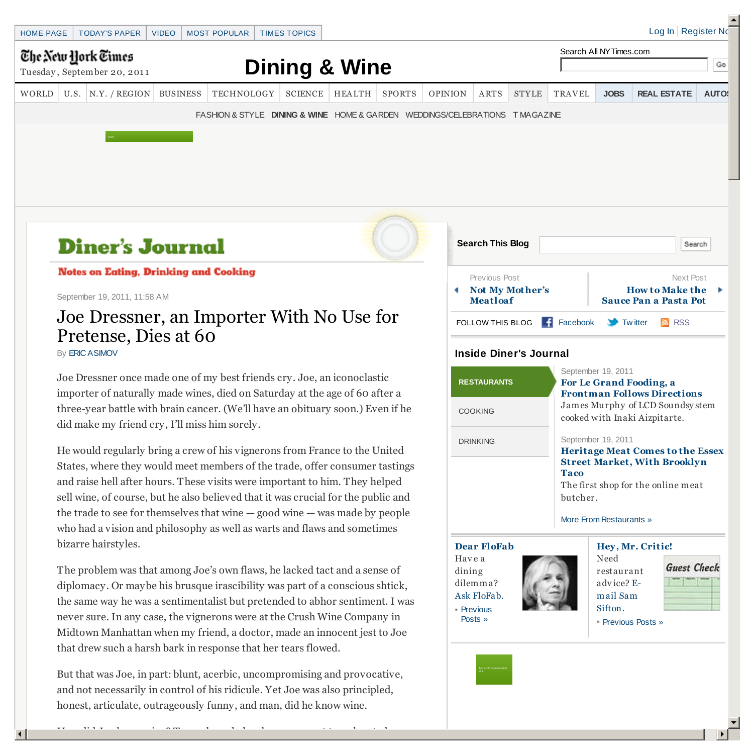

who had a vision and philosophy as well as warts and flaws and sometimes bizarre hairstyles.

The problem was that among Joe's own flaws, he lacked tact and a sense of diplomacy. Or maybe his brusque irascibility was part of a conscious shtick, the same way he was a sentimentalist but pretended to abhor sentiment. I was never sure. In any case, the vignerons were at the Crush Wine Company in Midtown Manhattan when my friend, a doctor, made an innocent jest to Joe that drew such a harsh bark in response that her tears flowed.

But that was Joe, in part: blunt, acerbic, uncompromising and provocative, and not necessarily in control of his ridicule. Yet Joe was also principled, honest, articulate, outrageously funny, and man, did he know wine.

How did Joe know wine? To my knowledge, he never went to a class to learn



 $\blacktriangledown$ 3 4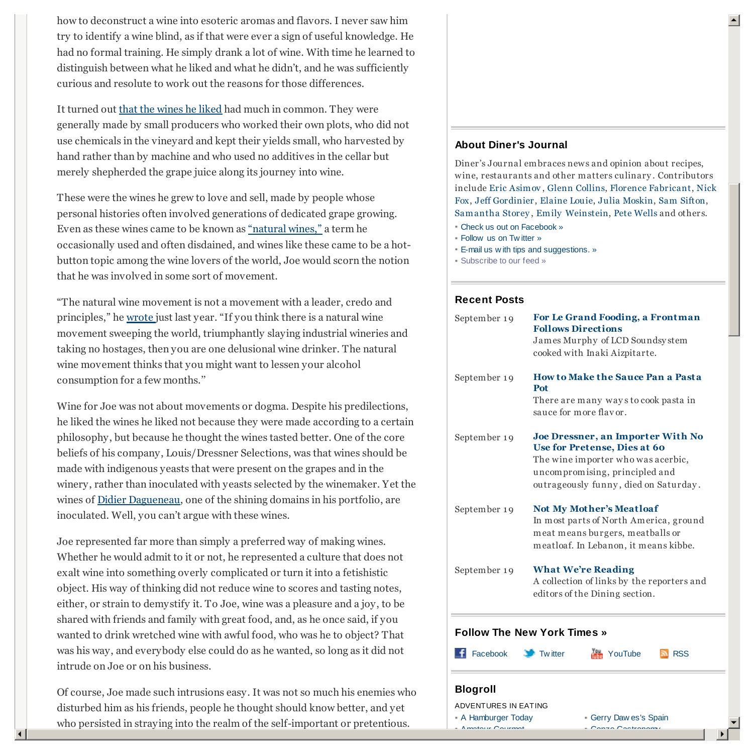how to deconstruct a wine into esoteric aromas and flavors. I never saw him try to identify a wine blind, as if that were ever a sign of useful knowledge. He had no formal training. He simply drank a lot of wine. With time he learned to distinguish between what he liked and what he didn't, and he was sufficiently curious and resolute to work out the reasons for those differences.

It turned out that the wines he liked had much in common. They were generally made by small producers who worked their own plots, who did not use chemicals in the vineyard and kept their yields small, who harvested by hand rather than by machine and who used no additives in the cellar but merely shepherded the grape juice along its journey into wine.

These were the wines he grew to love and sell, made by people whose personal histories often involved generations of dedicated grape growing. Even as these wines came to be known as "natural wines," a term he occasionally used and often disdained, and wines like these came to be a hotbutton topic among the wine lovers of the world, Joe would scorn the notion that he was involved in some sort of movement.

"The natural wine movement is not a movement with a leader, credo and principles," he wrote just last year. "If you think there is a natural wine movement sweeping the world, triumphantly slaying industrial wineries and taking no hostages, then you are one delusional wine drinker. The natural wine movement thinks that you might want to lessen your alcohol consumption for a few months.''

Wine for Joe was not about movements or dogma. Despite his predilections, he liked the wines he liked not because they were made according to a certain philosophy, but because he thought the wines tasted better. One of the core beliefs of his company, Louis/Dressner Selections, was that wines should be made with indigenous yeasts that were present on the grapes and in the winery, rather than inoculated with yeasts selected by the winemaker. Yet the wines of Didier Dagueneau, one of the shining domains in his portfolio, are inoculated. Well, you can't argue with these wines.

Joe represented far more than simply a preferred way of making wines. Whether he would admit to it or not, he represented a culture that does not exalt wine into something overly complicated or turn it into a fetishistic object. His way of thinking did not reduce wine to scores and tasting notes, either, or strain to demystify it. To Joe, wine was a pleasure and a joy, to be shared with friends and family with great food, and, as he once said, if you wanted to drink wretched wine with awful food, who was he to object? That was his way, and everybody else could do as he wanted, so long as it did not intrude on Joe or on his business.

Of course, Joe made such intrusions easy. It was not so much his enemies who disturbed him as his friends, people he thought should know better, and yet who persisted in straying into the realm of the self-important or pretentious.

## **About Diner's Journal**

Diner's Journal embraces news and opinion about recipes, wine, restaurants and other matters culinary . Contributors include Eric Asimov , Glenn Collins, Florence Fabricant, Nick Fox, Jeff Gordinier, Elaine Louie, Julia Moskin, Sam Sifton, Samantha Storey , Emily Weinstein, Pete Wells and others.

- Check us out on Facebook »
- Follow us on Tw itter »
- E-mail us w ith tips and suggestions. »
- Subscribe to our feed »

**Recent Posts**

| September 19 | For Le Grand Fooding, a Frontman<br><b>Follows Directions</b><br>James Murphy of LCD Soundsy stem<br>cooked with Inaki Aizpitarte. |
|--------------|------------------------------------------------------------------------------------------------------------------------------------|
| September 19 | How to Make the Sauce Pan a Pasta<br>Pot<br>There are many ways to cook pasta in<br>sauce for more flavor.                         |
| September 19 | Joe Dressner, an Importer With No<br>Use for Pretense, Dies at 60                                                                  |

|              | The wine importer who was acerbic,<br>uncompromising, principled and<br>outrageously funny, died on Saturday.                                          |
|--------------|--------------------------------------------------------------------------------------------------------------------------------------------------------|
| September 19 | <b>Not My Mother's Meatloaf</b><br>In most parts of North America, ground<br>meat means burgers, meatballs or<br>meatloaf. In Lebanon, it means kibbe. |
| September 19 | <b>What We're Reading</b><br>A collection of links by the reporters and<br>editors of the Dining section.                                              |

## **Follow The New York Times »**

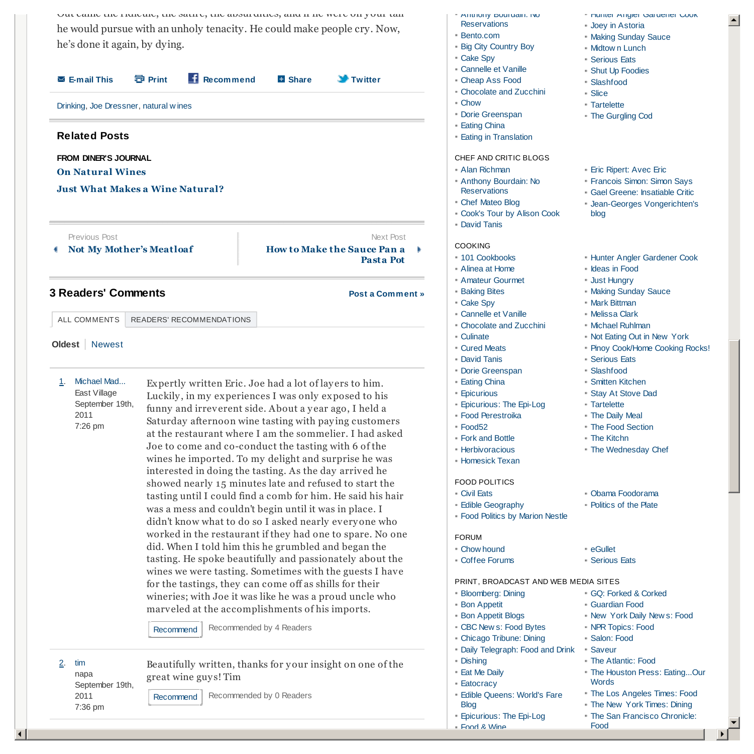Out came the ridicule, the satire, the absurdities, and if he were on your tail he would pursue with an unholy tenacity. He could make people cry. Now, he's done it again, by dying.

|                                                      |                             | Drinking, Joe Dressner, natural wines                                                                          |                                                                                                                    |  |  |
|------------------------------------------------------|-----------------------------|----------------------------------------------------------------------------------------------------------------|--------------------------------------------------------------------------------------------------------------------|--|--|
|                                                      | <b>Related Posts</b>        |                                                                                                                |                                                                                                                    |  |  |
|                                                      | <b>FROM DINER'S JOURNAL</b> |                                                                                                                |                                                                                                                    |  |  |
|                                                      | <b>On Natural Wines</b>     |                                                                                                                |                                                                                                                    |  |  |
|                                                      |                             | <b>Just What Makes a Wine Natural?</b>                                                                         |                                                                                                                    |  |  |
|                                                      |                             |                                                                                                                |                                                                                                                    |  |  |
|                                                      | Previous Post               |                                                                                                                | Next Post<br>How to Make the Sauce Pan a                                                                           |  |  |
|                                                      |                             | <b>Not My Mother's Meatloaf</b>                                                                                | <b>Pasta Pot</b>                                                                                                   |  |  |
|                                                      | <b>3 Readers' Comments</b>  |                                                                                                                | <b>Post a Comment »</b>                                                                                            |  |  |
|                                                      | ALL COMMENTS                | READERS' RECOMMENDATIONS                                                                                       |                                                                                                                    |  |  |
| Oldest                                               | <b>Newest</b>               |                                                                                                                |                                                                                                                    |  |  |
|                                                      |                             |                                                                                                                |                                                                                                                    |  |  |
| Michael Mad<br>1.<br>East Village<br>September 19th, |                             | Expertly written Eric. Joe had a lot of layers to him.                                                         |                                                                                                                    |  |  |
|                                                      |                             | Luckily, in my experiences I was only exposed to his                                                           |                                                                                                                    |  |  |
| 2011                                                 |                             | funny and irreverent side. About a year ago, I held a<br>Saturday afternoon wine tasting with paying customers |                                                                                                                    |  |  |
|                                                      | 7:26 pm                     |                                                                                                                | at the restaurant where I am the sommelier. I had asked                                                            |  |  |
|                                                      |                             |                                                                                                                | Joe to come and co-conduct the tasting with 6 of the                                                               |  |  |
|                                                      |                             |                                                                                                                | wines he imported. To my delight and surprise he was<br>interested in doing the tasting. As the day arrived he     |  |  |
|                                                      |                             |                                                                                                                | showed nearly 15 minutes late and refused to start the                                                             |  |  |
|                                                      |                             |                                                                                                                | tasting until I could find a comb for him. He said his hair                                                        |  |  |
|                                                      |                             |                                                                                                                | was a mess and couldn't begin until it was in place. I                                                             |  |  |
|                                                      |                             |                                                                                                                | didn't know what to do so I asked nearly everyone who<br>worked in the restaurant if they had one to spare. No one |  |  |
|                                                      |                             |                                                                                                                | did. When I told him this he grumbled and began the                                                                |  |  |
|                                                      |                             |                                                                                                                | tasting. He spoke beautifully and passionately about the                                                           |  |  |
|                                                      |                             |                                                                                                                | wines we were tasting. Sometimes with the guests I have                                                            |  |  |
|                                                      |                             |                                                                                                                | for the tastings, they can come off as shills for their<br>wineries; with Joe it was like he was a proud uncle who |  |  |
|                                                      |                             |                                                                                                                | marveled at the accomplishments of his imports.                                                                    |  |  |
|                                                      |                             |                                                                                                                | Recommended by 4 Readers                                                                                           |  |  |
|                                                      |                             | Recommend                                                                                                      |                                                                                                                    |  |  |
| $\overline{2}$ .                                     | tim                         | Beautifully written, thanks for your insight on one of the                                                     |                                                                                                                    |  |  |
|                                                      | napa                        | great wine guys! Tim                                                                                           |                                                                                                                    |  |  |
|                                                      | September 19th,             |                                                                                                                |                                                                                                                    |  |  |

Anthony Bourdain: No **Reservations** Bento.com Big City Country Boy Cake Spy Cannelle et Vanille Cheap Ass Food Chocolate and Zucchini Chow Dorie Greenspan Eating China Eating in Translation Hunter Angler Gardener Cook Joey in Astoria Making Sunday Sauce Midtow n Lunch Serious Eats Shut Up Foodies Slashfood Slice Tartelette The Gurgling Cod Alan Richman Anthony Bourdain: No **Reservations** Chef Mateo Blog Cook's Tour by Alison Cook David Tanis Eric Ripert: Avec Eric Francois Simon: Simon Says Gael Greene: Insatiable Critic Jean-Georges Vongerichten's blog 101 Cookbooks Alinea at Home Amateur Gourmet Baking Bites Cake Spy Cannelle et Vanille Chocolate and Zucchini **Culinate** Cured Meats David Tanis Dorie Greenspan Eating China **Epicurious** Epicurious: The Epi-Log Food Perestroika Food52 Fork and Bottle **Herbivoracious** Homesick Texan Hunter Angler Gardener Cook **I** Ideas in Food Just Hungry Making Sunday Sauce Mark Bittman Melissa Clark Michael Ruhlman Not Eating Out in New York Pinoy Cook/Home Cooking Rocks! Serious Eats Slashfood Smitten Kitchen Stay At Stove Dad Tartelette The Daily Meal The Food Section The Kitchn The Wednesday Chef Civil Eats Edible Geography Food Politics by Marion Nestle Obama Foodorama Politics of the Plate Chow hound Coffee Forums eGullet Serious Eats Bloomberg: Dining Bon Appetit Bon Appetit Blogs CBC New s: Food Bytes Chicago Tribune: Dining Daily Telegraph: Food and Drink **Dishing** Eat Me Daily **Eatocracy** Edible Queens: World's Fare Blog GQ: Forked & Corked Guardian Food New York Daily New s: Food NPR Topics: Food Salon: Food Saveur The Atlantic: Food The Houston Press: Eating...Our Words The Los Angeles Times: Food The New York Times: Dining CHEF AND CRITIC BLOGS COOKING OOD POLITICS **ORUM** PRINT, BROADCAST AND WEB MEDIA SITES

Epicurious: The Epi-Log

Food & Wine

 $\blacktriangle$ 

 $\blacktriangledown$ 

The San Francisco Chronicle:

Food

7:36 pm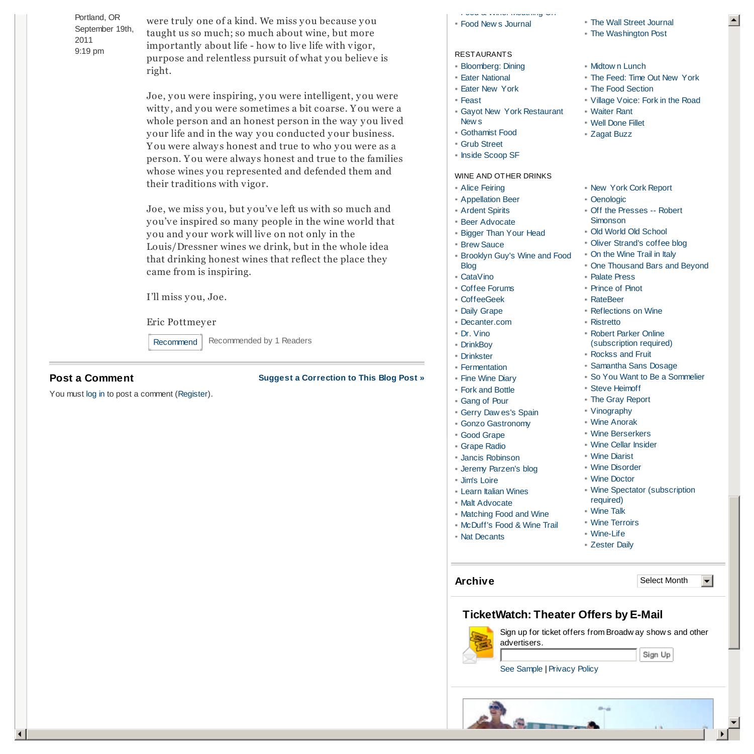Food & Wine: Mouthing Off Food New s Journal The Wall Street Journal The Washington Post Bloomberg: Dining Eater National Eater New York Feast Gayot New York Restaurant New s Gothamist Food Grub Street **Inside Scoop SF** Midtow n Lunch The Feed: Time Out New York The Food Section Village Voice: Fork in the Road Waiter Rant Well Done Fillet Zagat Buzz Alice Feiring Appellation Beer Ardent Spirits Beer Advocate Bigger Than Your Head Brew Sauce Brooklyn Guy's Wine and Food Blog CataVino Coffee Forums CoffeeGeek Daily Grape Decanter.com Dr. Vino DrinkBoy Drinkster Fermentation Fine Wine Diary Fork and Bottle Gang of Pour Gerry Daw es's Spain Gonzo Gastronomy Good Grape Grape Radio Jancis Robinson New York Cork Report Oenologic Off the Presses -- Robert **Simonson** Old World Old School Oliver Strand's coffee blog • On the Wine Trail in Italy One Thousand Bars and Beyond Palate Press Prince of Pinot RateBeer Reflections on Wine Ristretto Robert Parker Online (subscription required) Rockss and Fruit Samantha Sans Dosage So You Want to Be a Sommelier Steve Heimoff The Gray Report Vinography Wine Anorak Wine Berserkers Wine Cellar Insider RESTAURANTS WINE AND OTHER DRINKS Portland, OR September 19th, 2011 9:19 pm Recommend Recommended by 1 Readers were truly one of a kind. We miss y ou because y ou taught us so much; so much about wine, but more importantly about life - how to live life with vigor, purpose and relentless pursuit of what you believe is right. Joe, y ou were inspiring, y ou were intelligent, y ou were witty, and you were sometimes a bit coarse. You were a whole person and an honest person in the way you lived y our life and in the way y ou conducted y our business. You were always honest and true to who you were as a person. Y ou were alway s honest and true to the families whose wines you represented and defended them and their traditions with vigor. Joe, we miss you, but you've left us with so much and y ou've inspired so many people in the wine world that y ou and y our work will live on not only in the Louis/Dressner wines we drink, but in the whole idea that drinking honest wines that reflect the place they came from is inspiring. I'll miss you, Joe. Eric Pottmey er **Post a Comment Suggest a Correction to This Blog Post »** You must log in to post a comment (Register).

- Wine Diarist Wine Disorder
- Wine Doctor
- Wine Spectator (subscription required)

 $\blacktriangle$ 

- Wine Talk
- Wine Terroirs
- Wine-Life
- Zester Daily

Sign up for ticket offers from Broadw ay show s and other

## **Archive** Select Month  $\overline{\phantom{a}}$

Jeremy Parzen's blog

Matching Food and Wine McDuff's Food & Wine Trail

Jim's Loire **ELearn Italian Wines** Malt Advocate

Nat Decants

i n

 $\blacktriangledown$ 

## **TicketWatch: Theater Offers by E-Mail**